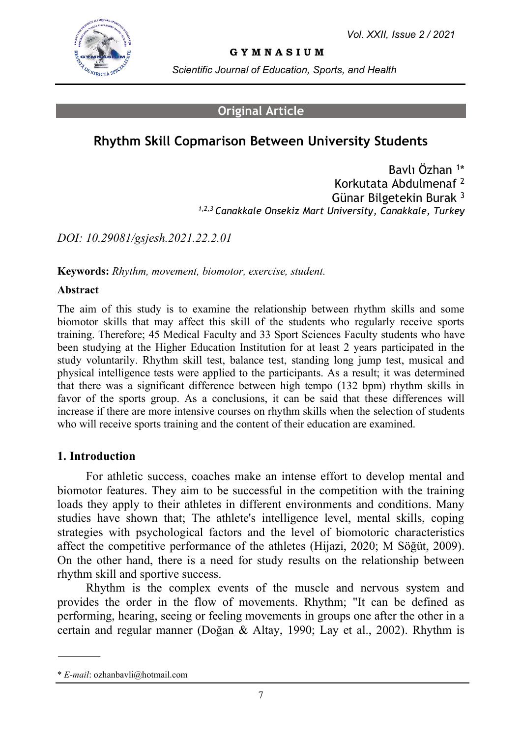

#### **G Y M N A S I U M**

*Scientific Journal of Education, Sports, and Health*

#### **Original Article**

# **Rhythm Skill Copmarison Between University Students**

Bavlı Özhan <sup>1</sup> \* Korkutata Abdulmenaf <sup>2</sup> Günar Bilgetekin Burak <sup>3</sup> *1,2,3 Canakkale Onsekiz Mart University, Canakkale, Turkey*

*DOI: 10.29081/gsjesh.2021.22.2.01*

**Keywords:** *Rhythm, movement, biomotor, exercise, student.*

#### **Abstract**

The aim of this study is to examine the relationship between rhythm skills and some biomotor skills that may affect this skill of the students who regularly receive sports training. Therefore; 45 Medical Faculty and 33 Sport Sciences Faculty students who have been studying at the Higher Education Institution for at least 2 years participated in the study voluntarily. Rhythm skill test, balance test, standing long jump test, musical and physical intelligence tests were applied to the participants. As a result; it was determined that there was a significant difference between high tempo (132 bpm) rhythm skills in favor of the sports group. As a conclusions, it can be said that these differences will increase if there are more intensive courses on rhythm skills when the selection of students who will receive sports training and the content of their education are examined.

## **1. Introduction**

For athletic success, coaches make an intense effort to develop mental and biomotor features. They aim to be successful in the competition with the training loads they apply to their athletes in different environments and conditions. Many studies have shown that; The athlete's intelligence level, mental skills, coping strategies with psychological factors and the level of biomotoric characteristics affect the competitive performance of the athletes (Hijazi, 2020; M Söğüt, 2009). On the other hand, there is a need for study results on the relationship between rhythm skill and sportive success.

Rhythm is the complex events of the muscle and nervous system and provides the order in the flow of movements. Rhythm; "It can be defined as performing, hearing, seeing or feeling movements in groups one after the other in a certain and regular manner (Doğan & Altay, 1990; Lay et al., 2002). Rhythm is

<sup>\*</sup> *E-mail*[: ozhanbavli@hotmail.com](mailto:ozhanbavli@hotmail.com)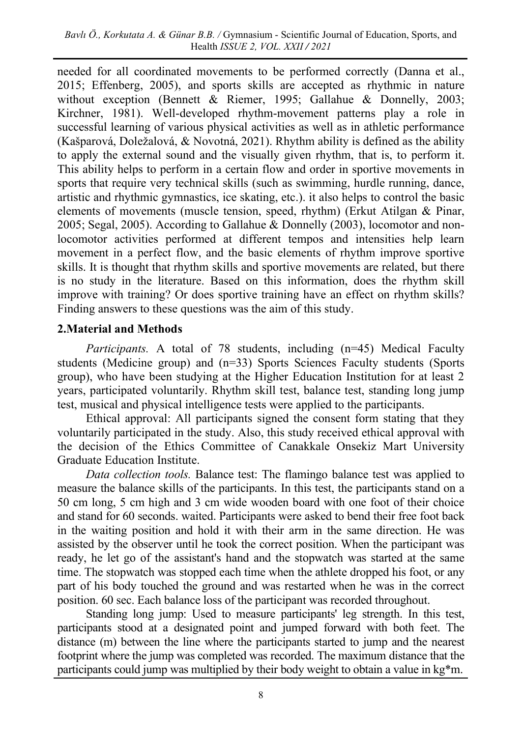needed for all coordinated movements to be performed correctly (Danna et al., 2015; Effenberg, 2005), and sports skills are accepted as rhythmic in nature without exception (Bennett & Riemer, 1995; Gallahue & Donnelly, 2003; Kirchner, 1981). Well-developed rhythm-movement patterns play a role in successful learning of various physical activities as well as in athletic performance (Kašparová, Doležalová, & Novotná, 2021). Rhythm ability is defined as the ability to apply the external sound and the visually given rhythm, that is, to perform it. This ability helps to perform in a certain flow and order in sportive movements in sports that require very technical skills (such as swimming, hurdle running, dance, artistic and rhythmic gymnastics, ice skating, etc.). it also helps to control the basic elements of movements (muscle tension, speed, rhythm) (Erkut Atilgan & Pinar, 2005; Segal, 2005). According to Gallahue & Donnelly (2003), locomotor and nonlocomotor activities performed at different tempos and intensities help learn movement in a perfect flow, and the basic elements of rhythm improve sportive skills. It is thought that rhythm skills and sportive movements are related, but there is no study in the literature. Based on this information, does the rhythm skill improve with training? Or does sportive training have an effect on rhythm skills? Finding answers to these questions was the aim of this study.

# **2.Material and Methods**

*Participants.* A total of 78 students, including (n=45) Medical Faculty students (Medicine group) and (n=33) Sports Sciences Faculty students (Sports group), who have been studying at the Higher Education Institution for at least 2 years, participated voluntarily. Rhythm skill test, balance test, standing long jump test, musical and physical intelligence tests were applied to the participants.

Ethical approval: All participants signed the consent form stating that they voluntarily participated in the study. Also, this study received ethical approval with the decision of the Ethics Committee of Canakkale Onsekiz Mart University Graduate Education Institute.

*Data collection tools.* Balance test: The flamingo balance test was applied to measure the balance skills of the participants. In this test, the participants stand on a 50 cm long, 5 cm high and 3 cm wide wooden board with one foot of their choice and stand for 60 seconds. waited. Participants were asked to bend their free foot back in the waiting position and hold it with their arm in the same direction. He was assisted by the observer until he took the correct position. When the participant was ready, he let go of the assistant's hand and the stopwatch was started at the same time. The stopwatch was stopped each time when the athlete dropped his foot, or any part of his body touched the ground and was restarted when he was in the correct position. 60 sec. Each balance loss of the participant was recorded throughout.

Standing long jump: Used to measure participants' leg strength. In this test, participants stood at a designated point and jumped forward with both feet. The distance (m) between the line where the participants started to jump and the nearest footprint where the jump was completed was recorded. The maximum distance that the participants could jump was multiplied by their body weight to obtain a value in kg\*m.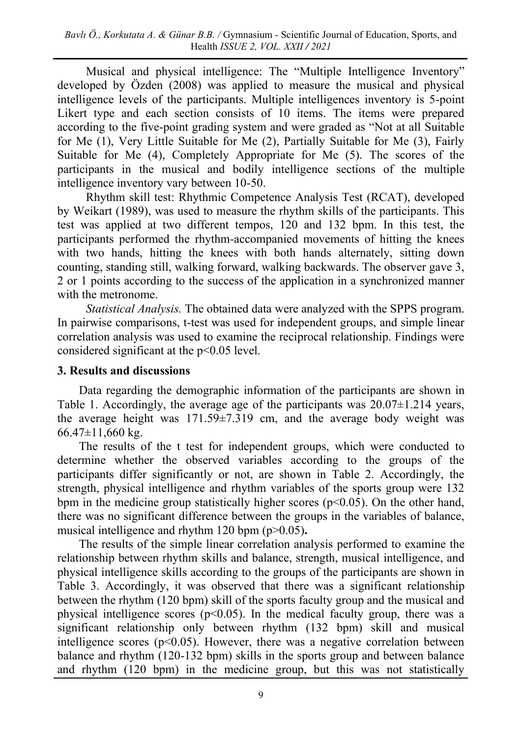Musical and physical intelligence: The "Multiple Intelligence Inventory" developed by Özden (2008) was applied to measure the musical and physical intelligence levels of the participants. Multiple intelligences inventory is 5-point Likert type and each section consists of 10 items. The items were prepared according to the five-point grading system and were graded as "Not at all Suitable for Me (1), Very Little Suitable for Me (2), Partially Suitable for Me (3), Fairly Suitable for Me (4), Completely Appropriate for Me (5). The scores of the participants in the musical and bodily intelligence sections of the multiple intelligence inventory vary between 10-50.

Rhythm skill test: Rhythmic Competence Analysis Test (RCAT), developed by Weikart (1989), was used to measure the rhythm skills of the participants. This test was applied at two different tempos, 120 and 132 bpm. In this test, the participants performed the rhythm-accompanied movements of hitting the knees with two hands, hitting the knees with both hands alternately, sitting down counting, standing still, walking forward, walking backwards. The observer gave 3, 2 or 1 points according to the success of the application in a synchronized manner with the metronome.

*Statistical Analysis.* The obtained data were analyzed with the SPPS program. In pairwise comparisons, t-test was used for independent groups, and simple linear correlation analysis was used to examine the reciprocal relationship. Findings were considered significant at the p<0.05 level.

## **3. Results and discussions**

Data regarding the demographic information of the participants are shown in Table 1. Accordingly, the average age of the participants was  $20.07\pm1.214$  years, the average height was 171.59±7.319 cm, and the average body weight was  $66.47 \pm 11,660$  kg.

The results of the t test for independent groups, which were conducted to determine whether the observed variables according to the groups of the participants differ significantly or not, are shown in Table 2. Accordingly, the strength, physical intelligence and rhythm variables of the sports group were 132 bpm in the medicine group statistically higher scores ( $p<0.05$ ). On the other hand, there was no significant difference between the groups in the variables of balance, musical intelligence and rhythm 120 bpm (p>0.05)**.**

The results of the simple linear correlation analysis performed to examine the relationship between rhythm skills and balance, strength, musical intelligence, and physical intelligence skills according to the groups of the participants are shown in Table 3. Accordingly, it was observed that there was a significant relationship between the rhythm (120 bpm) skill of the sports faculty group and the musical and physical intelligence scores ( $p$ <0.05). In the medical faculty group, there was a significant relationship only between rhythm (132 bpm) skill and musical intelligence scores ( $p<0.05$ ). However, there was a negative correlation between balance and rhythm (120-132 bpm) skills in the sports group and between balance and rhythm (120 bpm) in the medicine group, but this was not statistically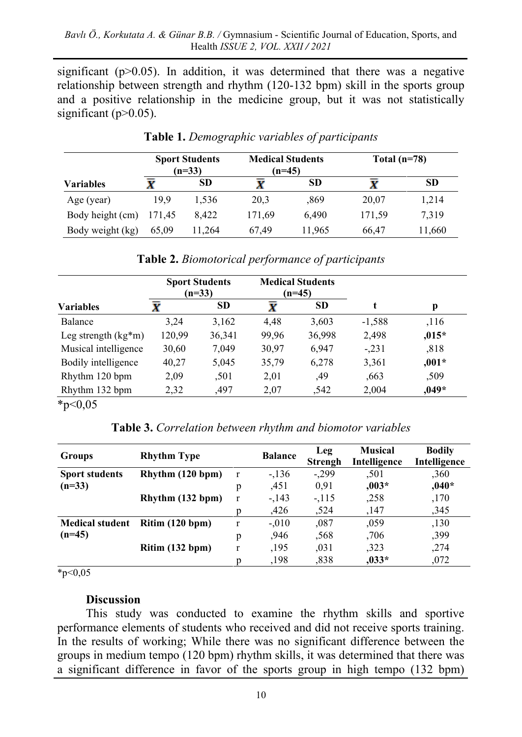significant ( $p>0.05$ ). In addition, it was determined that there was a negative relationship between strength and rhythm (120-132 bpm) skill in the sports group and a positive relationship in the medicine group, but it was not statistically significant (p>0.05).

| <b>Variables</b> | <b>Sport Students</b><br>$(n=33)$ |           | <b>Medical Students</b><br>$(n=45)$ |           | Total $(n=78)$ |           |
|------------------|-----------------------------------|-----------|-------------------------------------|-----------|----------------|-----------|
|                  |                                   | <b>SD</b> |                                     | <b>SD</b> |                | <b>SD</b> |
| Age (year)       | 19.9                              | 1,536     | 20,3                                | .869      | 20,07          | 1,214     |
| Body height (cm) | 171.45                            | 8,422     | 171.69                              | 6.490     | 171,59         | 7.319     |
| Body weight (kg) | 65.09                             | 11.264    | 67.49                               | 11,965    | 66,47          | 11,660    |

**Table 1.** *Demographic variables of participants*

|                       | <b>Sport Students</b><br>$(n=33)$ |           | <b>Medical Students</b><br>$(n=45)$ |           |          |         |
|-----------------------|-----------------------------------|-----------|-------------------------------------|-----------|----------|---------|
| Variables             |                                   | <b>SD</b> | X                                   | <b>SD</b> |          | p       |
| Balance               | 3.24                              | 3,162     | 4.48                                | 3,603     | $-1,588$ | ,116    |
| Leg strength $(kg*m)$ | 120,99                            | 36,341    | 99.96                               | 36,998    | 2,498    | $,015*$ |
| Musical intelligence  | 30,60                             | 7,049     | 30,97                               | 6.947     | $-.231$  | ,818    |
| Bodily intelligence   | 40,27                             | 5,045     | 35,79                               | 6,278     | 3,361    | $,001*$ |
| Rhythm 120 bpm        | 2,09                              | .501      | 2,01                                | ,49       | ,663     | ,509    |
| Rhythm 132 bpm        | 2,32                              | ,497      | 2,07                                | .542      | 2,004    | $,049*$ |

| Table 2. Biomotorical performance of participants |  |  |
|---------------------------------------------------|--|--|
|---------------------------------------------------|--|--|

 $*_{p<0,05}$ 

**Table 3.** *Correlation between rhythm and biomotor variables*

| <b>Groups</b>          | <b>Rhythm Type</b> |              | <b>Balance</b> | Leg<br><b>Strengh</b> | <b>Musical</b><br>Intelligence | <b>Bodily</b><br>Intelligence |
|------------------------|--------------------|--------------|----------------|-----------------------|--------------------------------|-------------------------------|
| <b>Sport students</b>  | Rhythm (120 bpm)   | <sup>r</sup> | $-.136$        | $-.299$               | .501                           | ,360                          |
| $(n=33)$               |                    | p            | .451           | 0.91                  | $,003*$                        | $,040*$                       |
|                        | Rhythm (132 bpm)   | $\mathbf{r}$ | $-143$         | $-115$                | ,258                           | ,170                          |
|                        |                    | n            | ,426           | ,524                  | ,147                           | ,345                          |
| <b>Medical student</b> | Ritim(120 bpm)     | r            | $-.010$        | ,087                  | ,059                           | ,130                          |
| $(n=45)$               |                    | p            | ,946           | ,568                  | ,706                           | ,399                          |
|                        | Ritim (132 bpm)    | r            | ,195           | .031                  | ,323                           | ,274                          |
|                        |                    | D            | ,198           | ,838                  | $,033*$                        | ,072                          |

 $*_{p<0,05}$ 

#### **Discussion**

This study was conducted to examine the rhythm skills and sportive performance elements of students who received and did not receive sports training. In the results of working; While there was no significant difference between the groups in medium tempo (120 bpm) rhythm skills, it was determined that there was a significant difference in favor of the sports group in high tempo (132 bpm)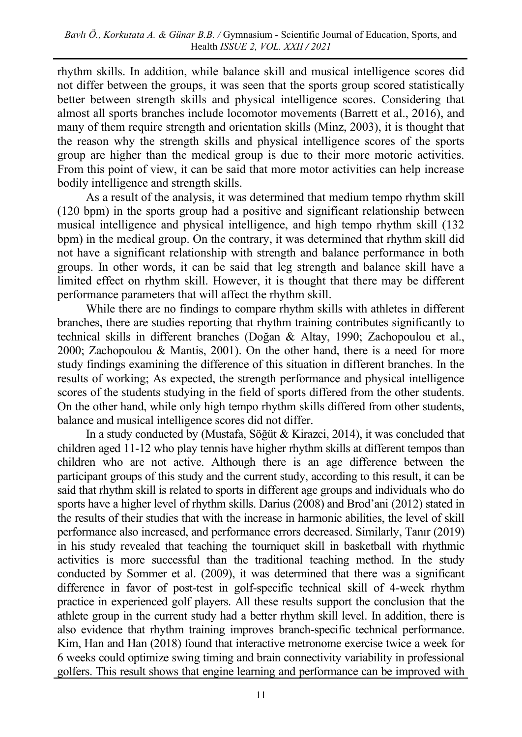rhythm skills. In addition, while balance skill and musical intelligence scores did not differ between the groups, it was seen that the sports group scored statistically better between strength skills and physical intelligence scores. Considering that almost all sports branches include locomotor movements (Barrett et al., 2016), and many of them require strength and orientation skills (Minz, 2003), it is thought that the reason why the strength skills and physical intelligence scores of the sports group are higher than the medical group is due to their more motoric activities. From this point of view, it can be said that more motor activities can help increase bodily intelligence and strength skills.

As a result of the analysis, it was determined that medium tempo rhythm skill (120 bpm) in the sports group had a positive and significant relationship between musical intelligence and physical intelligence, and high tempo rhythm skill (132 bpm) in the medical group. On the contrary, it was determined that rhythm skill did not have a significant relationship with strength and balance performance in both groups. In other words, it can be said that leg strength and balance skill have a limited effect on rhythm skill. However, it is thought that there may be different performance parameters that will affect the rhythm skill.

While there are no findings to compare rhythm skills with athletes in different branches, there are studies reporting that rhythm training contributes significantly to technical skills in different branches (Doğan & Altay, 1990; Zachopoulou et al., 2000; Zachopoulou & Mantis, 2001). On the other hand, there is a need for more study findings examining the difference of this situation in different branches. In the results of working; As expected, the strength performance and physical intelligence scores of the students studying in the field of sports differed from the other students. On the other hand, while only high tempo rhythm skills differed from other students, balance and musical intelligence scores did not differ.

In a study conducted by (Mustafa, Söğüt & Kirazci, 2014), it was concluded that children aged 11-12 who play tennis have higher rhythm skills at different tempos than children who are not active. Although there is an age difference between the participant groups of this study and the current study, according to this result, it can be said that rhythm skill is related to sports in different age groups and individuals who do sports have a higher level of rhythm skills. Darius (2008) and Brod'ani (2012) stated in the results of their studies that with the increase in harmonic abilities, the level of skill performance also increased, and performance errors decreased. Similarly, Tanır (2019) in his study revealed that teaching the tourniquet skill in basketball with rhythmic activities is more successful than the traditional teaching method. In the study conducted by Sommer et al. (2009), it was determined that there was a significant difference in favor of post-test in golf-specific technical skill of 4-week rhythm practice in experienced golf players. All these results support the conclusion that the athlete group in the current study had a better rhythm skill level. In addition, there is also evidence that rhythm training improves branch-specific technical performance. Kim, Han and Han (2018) found that interactive metronome exercise twice a week for 6 weeks could optimize swing timing and brain connectivity variability in professional golfers. This result shows that engine learning and performance can be improved with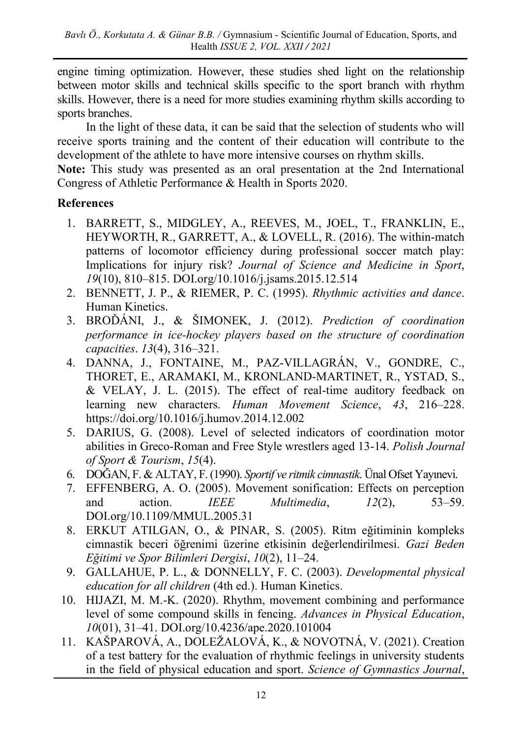engine timing optimization. However, these studies shed light on the relationship between motor skills and technical skills specific to the sport branch with rhythm skills. However, there is a need for more studies examining rhythm skills according to sports branches.

In the light of these data, it can be said that the selection of students who will receive sports training and the content of their education will contribute to the development of the athlete to have more intensive courses on rhythm skills.

**Note:** This study was presented as an oral presentation at the 2nd International Congress of Athletic Performance & Health in Sports 2020.

## **References**

- 1. BARRETT, S., MIDGLEY, A., REEVES, M., JOEL, T., FRANKLIN, E., HEYWORTH, R., GARRETT, A., & LOVELL, R. (2016). The within-match patterns of locomotor efficiency during professional soccer match play: Implications for injury risk? *Journal of Science and Medicine in Sport*, *19*(10), 810–815. DOI.org/10.1016/j.jsams.2015.12.514
- 2. BENNETT, J. P., & RIEMER, P. C. (1995). *Rhythmic activities and dance*. Human Kinetics.
- 3. BROĎÁNI, J., & ŠIMONEK, J. (2012). *Prediction of coordination performance in ice-hockey players based on the structure of coordination capacities*. *13*(4), 316–321.
- 4. DANNA, J., FONTAINE, M., PAZ-VILLAGRÁN, V., GONDRE, C., THORET, E., ARAMAKI, M., KRONLAND-MARTINET, R., YSTAD, S., & VELAY, J. L. (2015). The effect of real-time auditory feedback on learning new characters. *Human Movement Science*, *43*, 216–228. https://doi.org/10.1016/j.humov.2014.12.002
- 5. DARIUS, G. (2008). Level of selected indicators of coordination motor abilities in Greco-Roman and Free Style wrestlers aged 13-14. *Polish Journal of Sport & Tourism*, *15*(4).
- 6. DOĞAN, F. & ALTAY, F. (1990). *Sportif ve ritmik cimnastik*. Ünal Ofset Yayınevi.
- 7. EFFENBERG, A. O. (2005). Movement sonification: Effects on perception and action. *IEEE Multimedia*, *12*(2), 53–59. DOI.org/10.1109/MMUL.2005.31
- 8. ERKUT ATILGAN, O., & PINAR, S. (2005). Ritm eğitiminin kompleks cimnastik beceri öğrenimi üzerine etkisinin değerlendirilmesi. *Gazi Beden Eğitimi ve Spor Bilimleri Dergisi*, *10*(2), 11–24.
- 9. GALLAHUE, P. L., & DONNELLY, F. C. (2003). *Developmental physical education for all children* (4th ed.). Human Kinetics.
- 10. HIJAZI, M. M.-K. (2020). Rhythm, movement combining and performance level of some compound skills in fencing. *Advances in Physical Education*, *10*(01), 31–41. DOI.org/10.4236/ape.2020.101004
- 11. KAŠPAROVÁ, A., DOLEŽALOVÁ, K., & NOVOTNÁ, V. (2021). Creation of a test battery for the evaluation of rhythmic feelings in university students in the field of physical education and sport. *Science of Gymnastics Journal*,